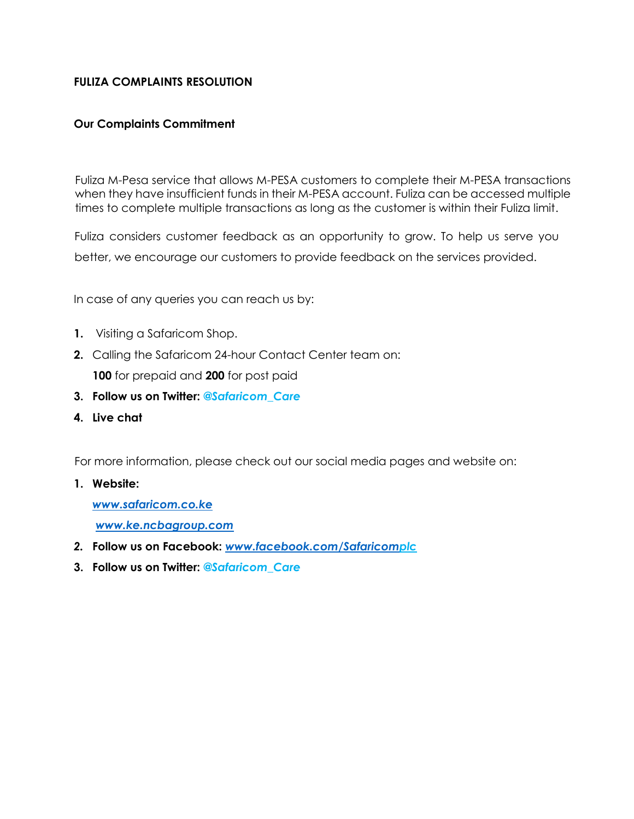## **FULIZA COMPLAINTS RESOLUTION**

## **Our Complaints Commitment**

Fuliza M-Pesa service that allows M-PESA customers to complete their M-PESA transactions when they have insufficient funds in their M-PESA account. Fuliza can be accessed multiple times to complete multiple transactions as long as the customer is within their Fuliza limit.

Fuliza considers customer feedback as an opportunity to grow. To help us serve you better, we encourage our customers to provide feedback on the services provided.

In case of any queries you can reach us by:

- **1.** Visiting a Safaricom Shop.
- **2.** Calling the Safaricom 24-hour Contact Center team on: **100** for prepaid and **200** for post paid
- **3. Follow us on Twitter:** *@Safaricom\_Care*
- **4. Live chat**

For more information, please check out our social media pages and website on:

**1. Website:**

*www.safaricom.co.ke [www.ke.ncbagroup.com](http://www.cbagroup.com/)*

- *2.* **Follow us on Facebook:** *[www.facebook.com/Safaricomp](http://www.facebook.com/Safaricom)lc*
- **3. Follow us on Twitter:** *@Safaricom\_Care*